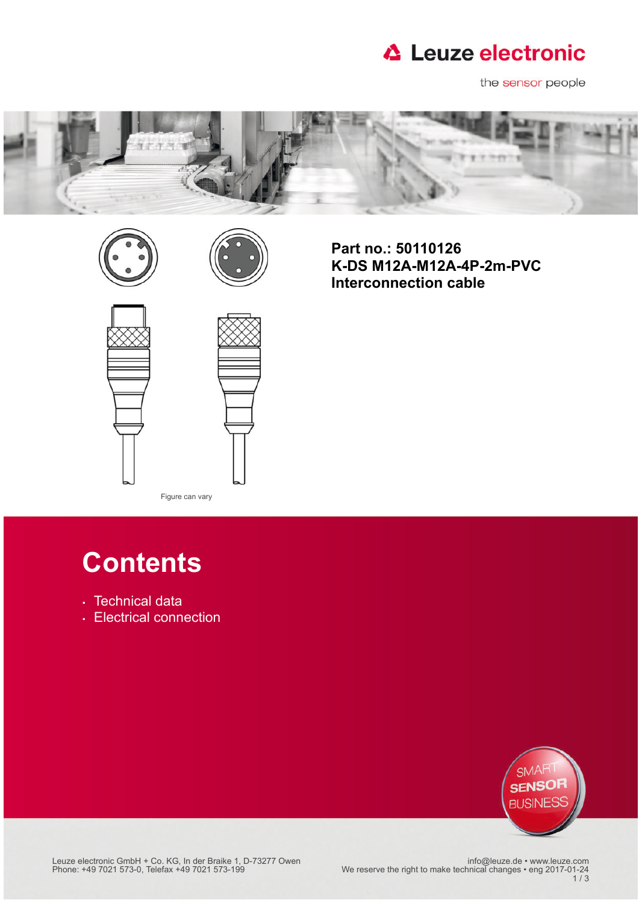

the sensor people







**Part no.: 50110126 K-DS M12A-M12A-4P-2m-PVC Interconnection cable**



Figure can vary

# **Contents**

- [Technical data](#page-1-0)
- [Electrical connection](#page-1-1)



Leuze electronic GmbH + Co. KG, In der Braike 1, D-73277 Owen اnfo@leuze.de • www.leuze.com<br>2017-01-24 Phone: +49 7021 573-0, Telefax +49 7021 573-199 We reserve the right to make technical changes • eng

1 / 3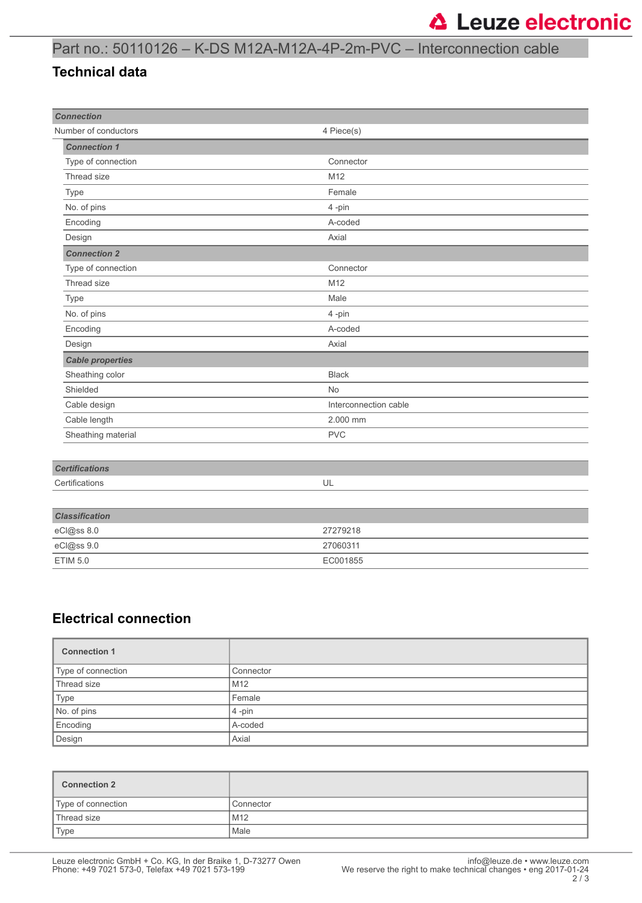### Part no.: 50110126 – K-DS M12A-M12A-4P-2m-PVC – Interconnection cable

#### <span id="page-1-0"></span>**Technical data**

| <b>Connection</b>       |                       |
|-------------------------|-----------------------|
| Number of conductors    | 4 Piece(s)            |
| <b>Connection 1</b>     |                       |
| Type of connection      | Connector             |
| Thread size             | M12                   |
| Type                    | Female                |
| No. of pins             | 4-pin                 |
| Encoding                | A-coded               |
| Design                  | Axial                 |
| <b>Connection 2</b>     |                       |
| Type of connection      | Connector             |
| Thread size             | M12                   |
| Type                    | Male                  |
| No. of pins             | 4-pin                 |
| Encoding                | A-coded               |
| Design                  | Axial                 |
| <b>Cable properties</b> |                       |
| Sheathing color         | <b>Black</b>          |
| Shielded                | <b>No</b>             |
| Cable design            | Interconnection cable |
| Cable length            | 2.000 mm              |
| Sheathing material      | <b>PVC</b>            |
|                         |                       |
| <b>Certifications</b>   |                       |
| Certifications          | UL                    |
|                         |                       |
| <b>Classification</b>   |                       |
| eCl@ss 8.0              | 27279218              |
| eCl@ss 9.0              | 27060311              |

#### <span id="page-1-1"></span>**Electrical connection**

| <b>Connection 1</b> |           |
|---------------------|-----------|
| Type of connection  | Connector |
| Thread size         | M12       |
| Type                | Female    |
| No. of pins         | $4$ -pin  |
| Encoding            | A-coded   |
| Design              | Axial     |

| <b>Connection 2</b> |           |
|---------------------|-----------|
| Type of connection  | Connector |
| Thread size         | M12       |
| Type                | Male      |

ETIM 5.0 EC001855